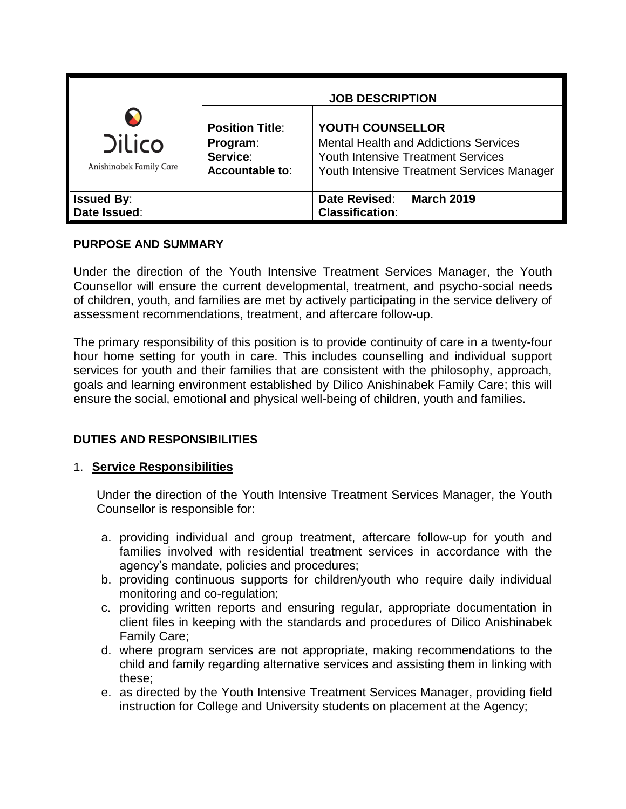|                                                                   | <b>JOB DESCRIPTION</b>                                                                                                                                                    |
|-------------------------------------------------------------------|---------------------------------------------------------------------------------------------------------------------------------------------------------------------------|
| <b>Position Title:</b><br>Program:<br>Service:<br>Accountable to: | <b>YOUTH COUNSELLOR</b><br><b>Mental Health and Addictions Services</b><br><b>Youth Intensive Treatment Services</b><br><b>Youth Intensive Treatment Services Manager</b> |
|                                                                   | <b>March 2019</b><br>Date Revised:<br><b>Classification:</b>                                                                                                              |
|                                                                   |                                                                                                                                                                           |

# **PURPOSE AND SUMMARY**

Under the direction of the Youth Intensive Treatment Services Manager, the Youth Counsellor will ensure the current developmental, treatment, and psycho-social needs of children, youth, and families are met by actively participating in the service delivery of assessment recommendations, treatment, and aftercare follow-up.

The primary responsibility of this position is to provide continuity of care in a twenty-four hour home setting for youth in care. This includes counselling and individual support services for youth and their families that are consistent with the philosophy, approach, goals and learning environment established by Dilico Anishinabek Family Care; this will ensure the social, emotional and physical well-being of children, youth and families.

# **DUTIES AND RESPONSIBILITIES**

# 1. **Service Responsibilities**

Under the direction of the Youth Intensive Treatment Services Manager, the Youth Counsellor is responsible for:

- a. providing individual and group treatment, aftercare follow-up for youth and families involved with residential treatment services in accordance with the agency's mandate, policies and procedures;
- b. providing continuous supports for children/youth who require daily individual monitoring and co-regulation;
- c. providing written reports and ensuring regular, appropriate documentation in client files in keeping with the standards and procedures of Dilico Anishinabek Family Care;
- d. where program services are not appropriate, making recommendations to the child and family regarding alternative services and assisting them in linking with these;
- e. as directed by the Youth Intensive Treatment Services Manager, providing field instruction for College and University students on placement at the Agency;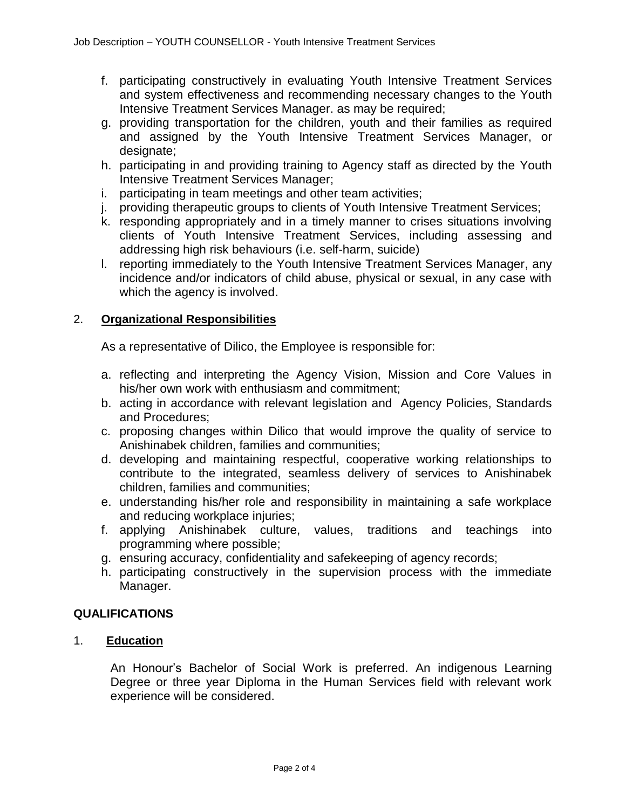- f. participating constructively in evaluating Youth Intensive Treatment Services and system effectiveness and recommending necessary changes to the Youth Intensive Treatment Services Manager. as may be required;
- g. providing transportation for the children, youth and their families as required and assigned by the Youth Intensive Treatment Services Manager, or designate;
- h. participating in and providing training to Agency staff as directed by the Youth Intensive Treatment Services Manager;
- i. participating in team meetings and other team activities;
- j. providing therapeutic groups to clients of Youth Intensive Treatment Services;
- k. responding appropriately and in a timely manner to crises situations involving clients of Youth Intensive Treatment Services, including assessing and addressing high risk behaviours (i.e. self-harm, suicide)
- l. reporting immediately to the Youth Intensive Treatment Services Manager, any incidence and/or indicators of child abuse, physical or sexual, in any case with which the agency is involved.

## 2. **Organizational Responsibilities**

As a representative of Dilico, the Employee is responsible for:

- a. reflecting and interpreting the Agency Vision, Mission and Core Values in his/her own work with enthusiasm and commitment;
- b. acting in accordance with relevant legislation and Agency Policies, Standards and Procedures;
- c. proposing changes within Dilico that would improve the quality of service to Anishinabek children, families and communities;
- d. developing and maintaining respectful, cooperative working relationships to contribute to the integrated, seamless delivery of services to Anishinabek children, families and communities;
- e. understanding his/her role and responsibility in maintaining a safe workplace and reducing workplace injuries;
- f. applying Anishinabek culture, values, traditions and teachings into programming where possible;
- g. ensuring accuracy, confidentiality and safekeeping of agency records;
- h. participating constructively in the supervision process with the immediate Manager.

#### **QUALIFICATIONS**

## 1. **Education**

An Honour's Bachelor of Social Work is preferred. An indigenous Learning Degree or three year Diploma in the Human Services field with relevant work experience will be considered.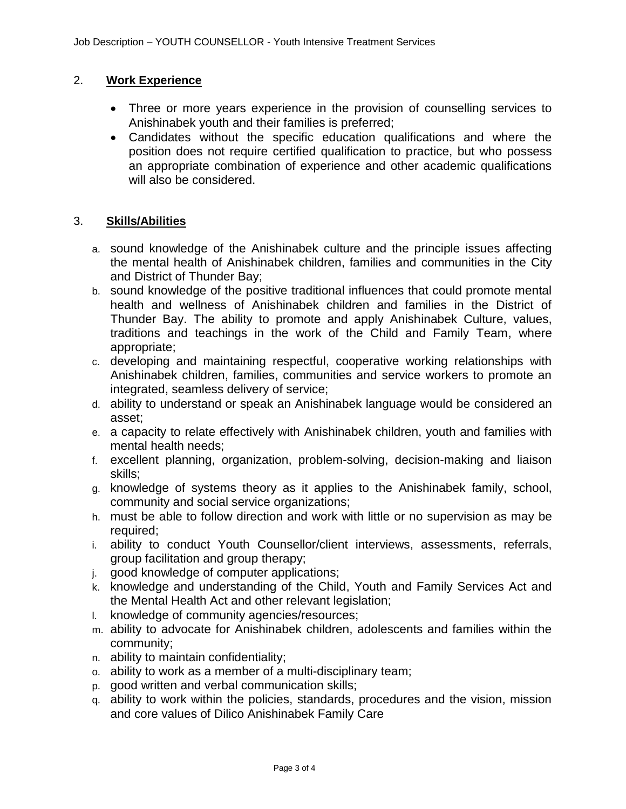### 2. **Work Experience**

- Three or more years experience in the provision of counselling services to Anishinabek youth and their families is preferred;
- Candidates without the specific education qualifications and where the position does not require certified qualification to practice, but who possess an appropriate combination of experience and other academic qualifications will also be considered.

#### 3. **Skills/Abilities**

- a. sound knowledge of the Anishinabek culture and the principle issues affecting the mental health of Anishinabek children, families and communities in the City and District of Thunder Bay;
- b. sound knowledge of the positive traditional influences that could promote mental health and wellness of Anishinabek children and families in the District of Thunder Bay. The ability to promote and apply Anishinabek Culture, values, traditions and teachings in the work of the Child and Family Team, where appropriate;
- c. developing and maintaining respectful, cooperative working relationships with Anishinabek children, families, communities and service workers to promote an integrated, seamless delivery of service;
- d. ability to understand or speak an Anishinabek language would be considered an asset;
- e. a capacity to relate effectively with Anishinabek children, youth and families with mental health needs;
- f. excellent planning, organization, problem-solving, decision-making and liaison skills;
- g. knowledge of systems theory as it applies to the Anishinabek family, school, community and social service organizations;
- h. must be able to follow direction and work with little or no supervision as may be required;
- i. ability to conduct Youth Counsellor/client interviews, assessments, referrals, group facilitation and group therapy;
- j. good knowledge of computer applications;
- k. knowledge and understanding of the Child, Youth and Family Services Act and the Mental Health Act and other relevant legislation;
- l. knowledge of community agencies/resources;
- m. ability to advocate for Anishinabek children, adolescents and families within the community;
- n. ability to maintain confidentiality;
- o. ability to work as a member of a multi-disciplinary team;
- p. good written and verbal communication skills;
- q. ability to work within the policies, standards, procedures and the vision, mission and core values of Dilico Anishinabek Family Care